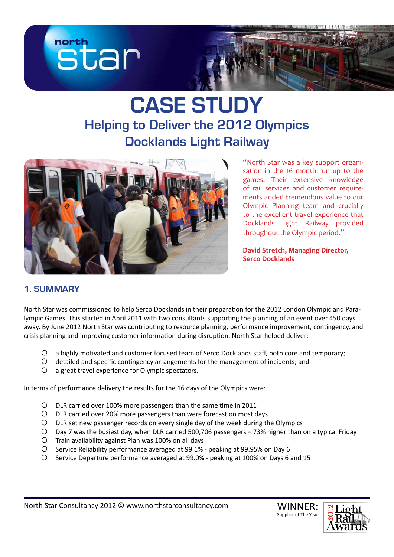

# **CASE STUDY Helping to Deliver the 2012 Olympics Docklands Light Railway**



"North Star was a key support organisation in the 16 month run up to the games. Their extensive knowledge of rail services and customer requirements added tremendous value to our Olympic Planning team and crucially to the excellent travel experience that Docklands Light Railway provided throughout the Olympic period."

**David Stretch, Managing Director, Serco Docklands**

# **1. SUMMARY**

North Star was commissioned to help Serco Docklands in their preparation for the 2012 London Olympic and Paralympic Games. This started in April 2011 with two consultants supporting the planning of an event over 450 days away. By June 2012 North Star was contributing to resource planning, performance improvement, contingency, and crisis planning and improving customer information during disruption. North Star helped deliver:

- c a highly motivated and customer focused team of Serco Docklands staff, both core and temporary;
- c detailed and specific contingency arrangements for the management of incidents; and
- $O$  a great travel experience for Olympic spectators.

In terms of performance delivery the results for the 16 days of the Olympics were:

- c DLR carried over 100% more passengers than the same time in 2011
- O DLR carried over 20% more passengers than were forecast on most days
- c DLR set new passenger records on every single day of the week during the Olympics
- c Day 7 was the busiest day, when DLR carried 500,706 passengers 73% higher than on a typical Friday
- $O$  Train availability against Plan was 100% on all days
- c Service Reliability performance averaged at 99.1% peaking at 99.95% on Day 6
- c Service Departure performance averaged at 99.0% peaking at 100% on Days 6 and 15

WINNER: Supplier of The Year

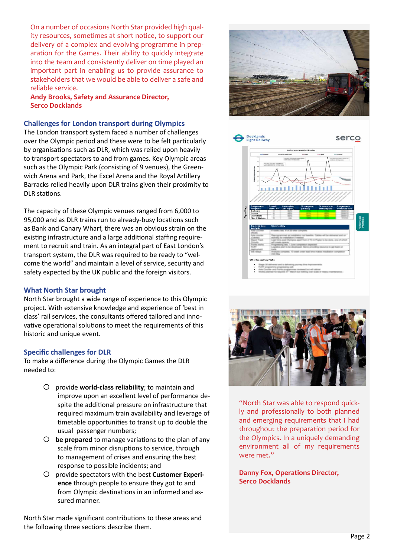On a number of occasions North Star provided high quality resources, sometimes at short notice, to support our delivery of a complex and evolving programme in preparation for the Games. Their ability to quickly integrate into the team and consistently deliver on time played an important part in enabling us to provide assurance to stakeholders that we would be able to deliver a safe and reliable service.

**Andy Brooks, Safety and Assurance Director, Serco Docklands**

#### **Challenges for London transport during Olympics**

The London transport system faced a number of challenges over the Olympic period and these were to be felt particularly by organisations such as DLR, which was relied upon heavily to transport spectators to and from games. Key Olympic areas such as the Olympic Park (consisting of 9 venues), the Greenwich Arena and Park, the Excel Arena and the Royal Artillery Barracks relied heavily upon DLR trains given their proximity to DLR stations.

The capacity of these Olympic venues ranged from 6,000 to 95,000 and as DLR trains run to already-busy locations such as Bank and Canary Wharf, there was an obvious strain on the existing infrastructure and a large additional staffing requirement to recruit and train. As an integral part of East London's transport system, the DLR was required to be ready to "welcome the world" and maintain a level of service, security and safety expected by the UK public and the foreign visitors.

#### **What North Star brought**

North Star brought a wide range of experience to this Olympic project. With extensive knowledge and experience of 'best in class' rail services, the consultants offered tailored and innovative operational solutions to meet the requirements of this historic and unique event.

#### **Specific challenges for DLR**

To make a difference during the Olympic Games the DLR needed to:

- c provide **world-class reliability**; to maintain and improve upon an excellent level of performance despite the additional pressure on infrastructure that required maximum train availability and leverage of timetable opportunities to transit up to double the usual passenger numbers;
- $\circ$  **be prepared** to manage variations to the plan of any scale from minor disruptions to service, through to management of crises and ensuring the best response to possible incidents; and
- O provide spectators with the best **Customer Experience** through people to ensure they got to and from Olympic destinations in an informed and assured manner.

North Star made significant contributions to these areas and the following three sections describe them.







"North Star was able to respond quickly and professionally to both planned and emerging requirements that I had throughout the preparation period for the Olympics. In a uniquely demanding environment all of my requirements were met."

**Danny Fox, Operations Director, Serco Docklands**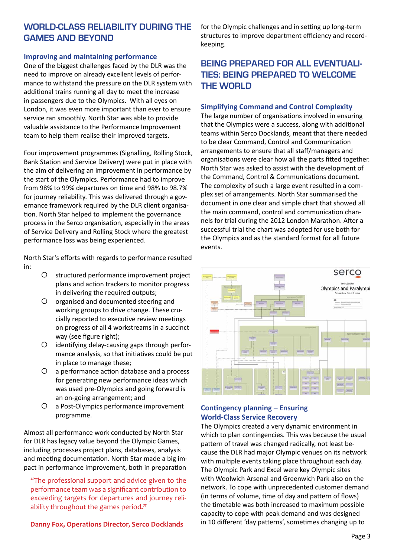## **WORLD-CLASS RELIABility DURING THE GAMES AND BEYOND**

#### **Improving and maintaining performance**

One of the biggest challenges faced by the DLR was the need to improve on already excellent levels of performance to withstand the pressure on the DLR system with additional trains running all day to meet the increase in passengers due to the Olympics. With all eyes on London, it was even more important than ever to ensure service ran smoothly. North Star was able to provide valuable assistance to the Performance Improvement team to help them realise their improved targets.

Four improvement programmes (Signalling, Rolling Stock, Bank Station and Service Delivery) were put in place with the aim of delivering an improvement in performance by the start of the Olympics. Performance had to improve from 98% to 99% departures on time and 98% to 98.7% for journey reliability. This was delivered through a governance framework required by the DLR client organisation. North Star helped to implement the governance process in the Serco organisation, especially in the areas of Service Delivery and Rolling Stock where the greatest performance loss was being experienced.

North Star's efforts with regards to performance resulted in:

- O structured performance improvement project plans and action trackers to monitor progress in delivering the required outputs;
- O organised and documented steering and working groups to drive change. These crucially reported to executive review meetings on progress of all 4 workstreams in a succinct way (see figure right);
- $O$  identifying delay-causing gaps through performance analysis, so that initiatives could be put in place to manage these;
- $\circ$  a performance action database and a process for generating new performance ideas which was used pre-Olympics and going forward is an on-going arrangement; and
- c a Post-Olympics performance improvement programme.

Almost all performance work conducted by North Star for DLR has legacy value beyond the Olympic Games, including processes project plans, databases, analysis and meeting documentation. North Star made a big impact in performance improvement, both in preparation

"The professional support and advice given to the performance team was a significant contribution to exceeding targets for departures and journey reliability throughout the games period**."**

**Danny Fox, Operations Director, Serco Docklands**

for the Olympic challenges and in setting up long-term structures to improve department efficiency and recordkeeping.

## **BEING PREPARED FOR ALL EVENTUALI-TIES: BEING PREPARED TO WELCOME THE WORLD**

#### **Simplifying Command and Control Complexity**

The large number of organisations involved in ensuring that the Olympics were a success, along with additional teams within Serco Docklands, meant that there needed to be clear Command, Control and Communication arrangements to ensure that all staff/managers and organisations were clear how all the parts fitted together. North Star was asked to assist with the development of the Command, Control & Communications document. The complexity of such a large event resulted in a complex set of arrangements. North Star summarised the document in one clear and simple chart that showed all the main command, control and communication channels for trial during the 2012 London Marathon. After a successful trial the chart was adopted for use both for the Olympics and as the standard format for all future events.



## **Contingency planning – Ensuring World-Class Service Recovery**

The Olympics created a very dynamic environment in which to plan contingencies. This was because the usual pattern of travel was changed radically, not least because the DLR had major Olympic venues on its network with multiple events taking place throughout each day. The Olympic Park and Excel were key Olympic sites with Woolwich Arsenal and Greenwich Park also on the network. To cope with unprecedented customer demand (in terms of volume, time of day and pattern of flows) the timetable was both increased to maximum possible capacity to cope with peak demand and was designed in 10 different 'day patterns', sometimes changing up to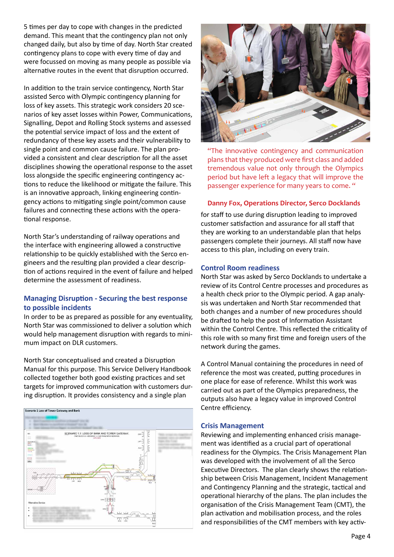5 times per day to cope with changes in the predicted demand. This meant that the contingency plan not only changed daily, but also by time of day. North Star created contingency plans to cope with every time of day and were focussed on moving as many people as possible via alternative routes in the event that disruption occurred.

In addition to the train service contingency, North Star assisted Serco with Olympic contingency planning for loss of key assets. This strategic work considers 20 scenarios of key asset losses within Power, Communications, Signalling, Depot and Rolling Stock systems and assessed the potential service impact of loss and the extent of redundancy of these key assets and their vulnerability to single point and common cause failure. The plan provided a consistent and clear description for all the asset disciplines showing the operational response to the asset loss alongside the specific engineering contingency actions to reduce the likelihood or mitigate the failure. This is an innovative approach, linking engineering contingency actions to mitigating single point/common cause failures and connecting these actions with the operational response.

North Star's understanding of railway operations and the interface with engineering allowed a constructive relationship to be quickly established with the Serco engineers and the resulting plan provided a clear description of actions required in the event of failure and helped determine the assessment of readiness.

### **Managing Disruption - Securing the best response to possible incidents**

In order to be as prepared as possible for any eventuality, North Star was commissioned to deliver a solution which would help management disruption with regards to minimum impact on DLR customers.

North Star conceptualised and created a Disruption Manual for this purpose. This Service Delivery Handbook collected together both good existing practices and set targets for improved communication with customers during disruption. It provides consistency and a single plan





"The innovative contingency and communication plans that they produced were first class and added tremendous value not only through the Olympics period but have left a legacy that will improve the passenger experience for many years to come. "

#### **Danny Fox, Operations Director, Serco Docklands**

for staff to use during disruption leading to improved customer satisfaction and assurance for all staff that they are working to an understandable plan that helps passengers complete their journeys. All staff now have access to this plan, including on every train.

#### **Control Room readiness**

North Star was asked by Serco Docklands to undertake a review of its Control Centre processes and procedures as a health check prior to the Olympic period. A gap analysis was undertaken and North Star recommended that both changes and a number of new procedures should be drafted to help the post of Information Assistant within the Control Centre. This reflected the criticality of this role with so many first time and foreign users of the network during the games.

A Control Manual containing the procedures in need of reference the most was created, putting procedures in one place for ease of reference. Whilst this work was carried out as part of the Olympics preparedness, the outputs also have a legacy value in improved Control Centre efficiency.

#### **Crisis Management**

Reviewing and implementing enhanced crisis management was identified as a crucial part of operational readiness for the Olympics. The Crisis Management Plan was developed with the involvement of all the Serco Executive Directors. The plan clearly shows the relationship between Crisis Management, Incident Management and Contingency Planning and the strategic, tactical and operational hierarchy of the plans. The plan includes the organisation of the Crisis Management Team (CMT), the plan activation and mobilisation process, and the roles and responsibilities of the CMT members with key activ-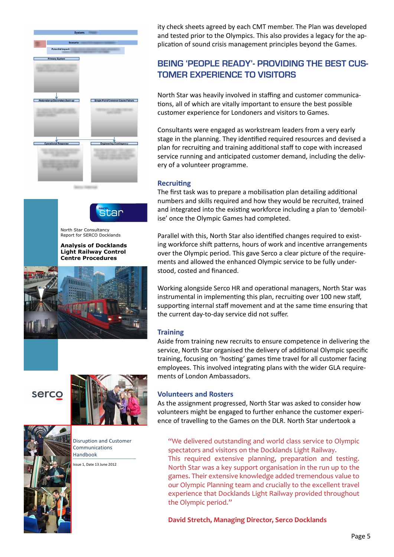









Disruption and Customer Communications Handbook

ssue 1, Date 13 June 2012

ity check sheets agreed by each CMT member. The Plan was developed and tested prior to the Olympics. This also provides a legacy for the application of sound crisis management principles beyond the Games.

# **BEING 'PEOPLE READY'- PROVIDING THE BEST CUS-TOMER EXPERIENCE TO VISITORS**

North Star was heavily involved in staffing and customer communications, all of which are vitally important to ensure the best possible customer experience for Londoners and visitors to Games.

Consultants were engaged as workstream leaders from a very early stage in the planning. They identified required resources and devised a plan for recruiting and training additional staff to cope with increased service running and anticipated customer demand, including the delivery of a volunteer programme.

#### **Recruiting**

The first task was to prepare a mobilisation plan detailing additional numbers and skills required and how they would be recruited, trained and integrated into the existing workforce including a plan to 'demobilise' once the Olympic Games had completed.

Parallel with this, North Star also identified changes required to existing workforce shift patterns, hours of work and incentive arrangements over the Olympic period. This gave Serco a clear picture of the requirements and allowed the enhanced Olympic service to be fully understood, costed and financed.

Working alongside Serco HR and operational managers, North Star was instrumental in implementing this plan, recruiting over 100 new staff, supporting internal staff movement and at the same time ensuring that the current day-to-day service did not suffer.

#### **Training**

Aside from training new recruits to ensure competence in delivering the service, North Star organised the delivery of additional Olympic specific training, focusing on 'hosting' games time travel for all customer facing employees. This involved integrating plans with the wider GLA requirements of London Ambassadors.

#### **Volunteers and Rosters**

As the assignment progressed, North Star was asked to consider how volunteers might be engaged to further enhance the customer experience of travelling to the Games on the DLR. North Star undertook a

"We delivered outstanding and world class service to Olympic spectators and visitors on the Docklands Light Railway. This required extensive planning, preparation and testing. North Star was a key support organisation in the run up to the games. Their extensive knowledge added tremendous value to our Olympic Planning team and crucially to the excellent travel experience that Docklands Light Railway provided throughout the Olympic period."

**David Stretch, Managing Director, Serco Docklands**